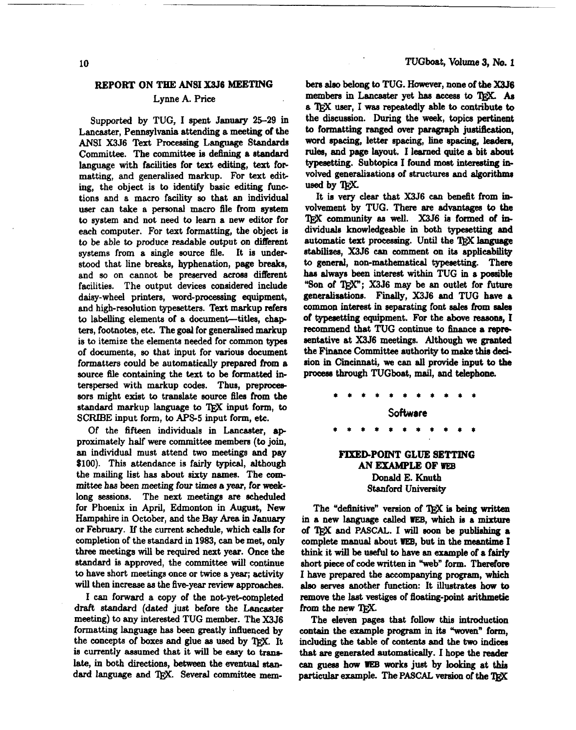# **REPORT ON THE ANSI X3J6 MEETING**

## Lynne A. Price

Supported by TUG, I spent January 25-29 in Lancaster, Pennsylvania attending a meeting of the ANSI **X3J6 Text** Pmceaeing Language **Standards**  Committee. The committee is defining a standard language with facilities for **text** editing, text **fop**  matting, and generalized markup. For text editing, the object is to identify basic editing functions and a macro facility so that an individual user can take a **personal** macro file from system to system and not need to learn a new editor for each computer. For **text** formatting, the object is to be able to produce readable output on different systems from a single source file. It is understood that line breaks, hyphenation, page breaks, and so on cannot be preserved across different facilities. The output devices considered include daisy-wheel printers, word-processing equipment, and high-resolution typesetters. Text markup refers to labelling elements of a document-titles, chapters, footnotes, etc. The goal for generalired markup is to itemize the elements needed for common types of documents, eo that input for various document formattem could be automatically prepared **from** a source file containing the text to be formatted interspersed with markup codes. Thus, preproceasors might exist to translate source **files** from the standard markup language to TFX input form, to **SCRIBE** input form, to **APS-5** input form, etc.

Of the fifteen individuals in Lancaster, approximately half were committee members **(to** join, an individual must attend **two** meeting6 and pay \$100). This attendance is fairly typical, although the mailing list has about sixty names. The comrnittee has *been* meeting four timea a **year,** for weeklong sessions. The next meetings *are* scheduled for Phoenix in April, Edmonton in Augut, New Hampshire in October, and the Bay **Area** in January or February. If the current schedule, which calls for completion of the standard in 1983, can be met, only three meetings will be required next year. Once the standard is approved, the committee will continue to have short meetings once or twice a year; activity will then increase as the five-year review approaches.

I can forward a copy of the not-yet-completed draft standard (dated **just** before the **Laneaater**  meeting) to any interested TUG member. The X3J6 formatting language **has** been greatly influenced by the concepts of boxes and glue as used by TFX. It is currently assumed that it will be **easy ta** translate, in both directions, between the eventual **stan**dard language and TrX. Several committee mem**bere** alee belong to TUG. **However,** none of the **X3J6**  members in Lancaster yet **has acceaa** to QjX. *As*  **a** 'I@C **user,** I was repeatedly able **to** contribute to the discuseion. During the **week,** topics pertinent to formatting ranged over paragraph *justification*. **word spacing,** letter spacing, line spacing, **leadera, rules,** and page layout. I learned **quite** a **bit** about **typesetting.** Subtopica I found most intereating involved generaliaations of structures and algorithms used by T<sub>FX</sub>.

It is very clear that **X3J6 can** benefit from involvement by TUG. There **are advantages** to the community **as well.** X3J6 is formed of individuals knowledgeable in both typenetting **end**  automatic text processing. Until the TRX language stabiliaen, X3J6 can comment on **ita** applicability to **general,** non-mathematical typeeetting. There has always been interest within TUG in a **possible** "Son of TFX": X3J6 may be an outlet for future generalisations. **Finally,** X3J6 and **TUG have** a common interest in separating font sales from sales of typesetting equipment. For the above reasons, I recommend that TUG continue to **finance** a repre= eentative at X3J6 meetings. Although **we granted**  the **Finance** Committee authority to **make** this **ded**sion in Cincinnati, we **can all** provide input to the process through TUGboat, mail, and telephone.

> Software **FIXED-POINT GLUE SETTING AN EXAMPLE** OF WEB Donald E. Knuth Sfanford **University**

The "definitive" version of T<sub>FX</sub> is being written in a new **language called WEB, which** ie a **mixture**  of and **PASCAL.** I will soon be **publishing** a complete manual about **WEB,** but in the **meantime** I **think** it will be **weful to have** an example of a **fairly**  short piece of code written in "web" form. Therefore I **have** prepared the accompanying program, **which**  also serves another function: It illustrates how to **remove** the **last** veatigea of floating-point arithmetic from the new TFX.

The eleven pagee that follow this introduction contain the example program in its "woven" form. including the table of contents and the **two indices**  that are **generated** automstically. I hope the reader *can* guess **bow WEB works** juet by **looking** at **this**  particular example. The **PASCAL** version of the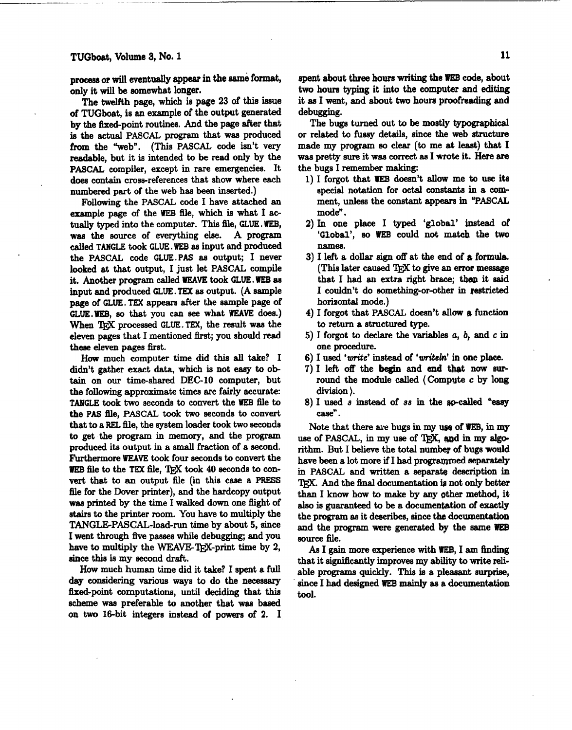**prowar** or will eventually *appear* in the *erne* format, only it will be somewhat longer.

The twelfth page, which is page 23 of this issue of TUGboat, is an example of the output generated by the fixed-point routines. And the page after that is the actual PASCAL program that **was** produced from the "web". (This PASCAL code isn't very readable, but it is intended to be read only by the PASCAL compiler, except in rare emergencies. It does contain cross-references that show where each numbered part of the web has been inserted.)

Following the PASCAL code I have attached an example page of the WEB file, which is what I actually typed into the computer. This file, GLUE. **WEB,**  was the source of everything else. A program called TANGLE took GLUE. WEB **as** input and produced the PASCAL code GLUE.PAS as output; I never looked at that output, I just let PASCAL compile it. Another program called WEAVE took GLUE. WEB as input and produced GLUE. **TEX** as output. (A sample page of GLUE. TEX appears after the sample page of GLUE.WEB, **ao** that you **can** see what **WEAVE** does.) When T<sub>F</sub>X processed GLUE. TEX, the result was the eleven pages that I mentioned *first;* you should read these eleven pages first.

**How** much computer time did this **all** take? I didn't gather exact data, which is not **easy** to obtain on our time-shared DEC-10 computer, but the following approximate times are fairly accurate: TANGLE took two seconds to convert the WEB file to the PAS file, PASCAL took two seconds to convert that to a **REL** tile, the system loader took two seconds to get the program in memory, and the program produced its output in a small fraction of a second. Furthermore **WEAVE** took four seconds to convert the WEB file to the TEX file, TFX took 40 seconds to con**vert** that to an output file (in this **case** a **PRESS**  file for the Dover printer), and the hardcopy output **was** printed by the time I walked down one fiight of stairs to the printer room. You have to multiply the TANGLE-PASCAL-load-run time by about 5, since I went through five pasees while debugging, and you have to multiply the WEAVE-T<sub>F</sub>X-print time by 2, since this is my second draft.

**How** much human time did it take? I spent a full *day* considering various ways to do the necessary fixed-point computations, until deciding that this acheme **was** preferable to another that was baaed on **two** 16-bit integers instead of powers of 2. I

spent about **th** hours **writing** the **WEB** code, about **two** hours **typing** it into the computer and editing it **as** I went, and about two houre **proofreading** and debugging.

The bugs turned out to be mostly typographical or related to fussy details, since the web structure made my program *eo* clear **(to** me at least) that I **was** pretty sure it was correct as I wrote it. **Here are**  the bugs I remember making:

- 1) I forgot that **WEB** doesn't **allow** me to use its special notation for **octal** constants in a comment, unless the constant appears in "PASCAL mode".
- 2) In one place I typed 'global' **instead** of 'Global', so **WEB** could not **matcb** the **two namea.**
- 3) I left a dollar sign off at the end of a formula. **(This** later caused QjX to give an error message that I had an extra right brace; then it said I couldn't do eomething-or-other in restricted horizontal mode.)
- 4) I forgot that PASCAL doesn't **allow a** function to return a structured type.
- 5) I forgot to declare the variables *a, b,* and **c in**  one procedure.
- 6) I used '*write*' instead of '*writeln*' in one place.
- 7) I left off the **begin** and **end** that now surround the module called (Compute **c** by long division ).
- 8) I used *s* instead of *ss* in the go-called "easy case".

Note that there are bugs in my use of WEB, in my use of PASCAL, in my use of T<sub>RX</sub>, and in my algorithm. But I believe the total number of bugs would have **been** a lot more if I had programmed separately in PASCAL and written a separate description **in**  IEX. And the final documentation is not only better than I know how to make by any other method, it also is guaranteed to be a documentation of exactly the program **as** it describes, **since** the documentation and the program **were** generated **by** the same **WEB**  source file.

As I **gain** more experience with **IIEB,** I **am** finding that it signiscantly impraves my ability to **write** reliable programs quickly. This is a pleasant surprise, since I had designed **WEE** mainly as a documentation tool.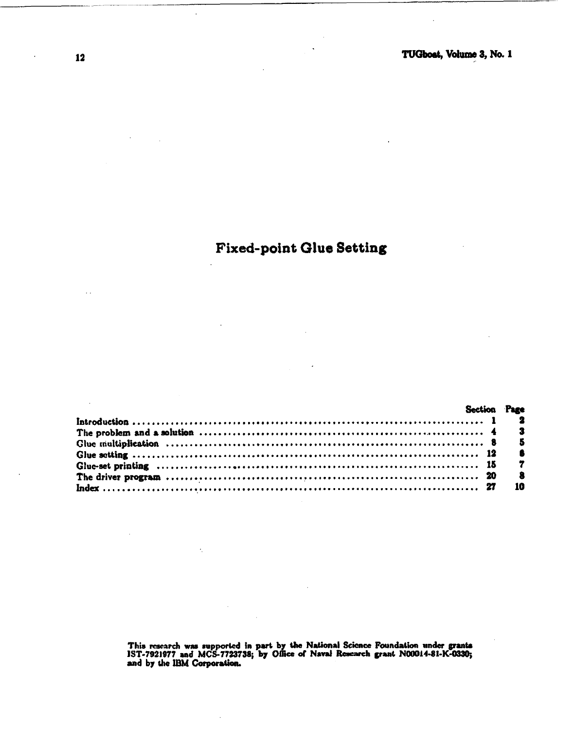# **Fixed-point Glue Setting**

|                                                                                                                                                                                                                                  |  | Section Page   |
|----------------------------------------------------------------------------------------------------------------------------------------------------------------------------------------------------------------------------------|--|----------------|
|                                                                                                                                                                                                                                  |  |                |
| The problem and a solution $\ldots$ $\ldots$ $\ldots$ $\ldots$ $\ldots$ $\ldots$ $\ldots$ $\ldots$ $\ldots$ $\ldots$ $\ldots$ $\ldots$ $\ldots$ $\ldots$ $\ldots$ $\ldots$ $\ldots$ $\ldots$ $\ldots$ $\ldots$ $\ldots$ $\ldots$ |  |                |
|                                                                                                                                                                                                                                  |  |                |
|                                                                                                                                                                                                                                  |  | $\bullet$      |
|                                                                                                                                                                                                                                  |  | $\overline{r}$ |
|                                                                                                                                                                                                                                  |  | - 8            |
|                                                                                                                                                                                                                                  |  | - 10           |

This research was supported in part by the National Science Foundation under grants IST-7921977 and MCS-7723738; by Office of Naval Research grant N00014-81-K-0330; and by the IBM Corporation.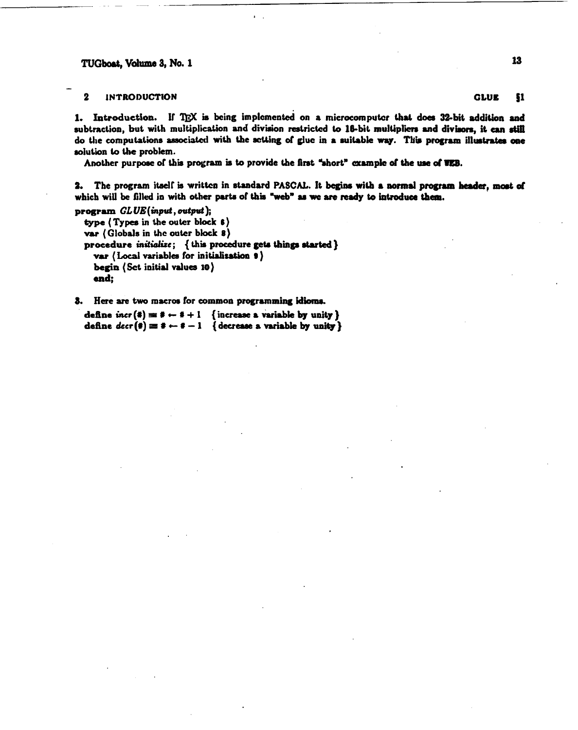$\overline{\mathbf{2}}$ **INTRODUCTION** 

1. Introduction. If TEX is being implemented on a microcomputer that does 32-bit addition and subtraction, but with multiplication and division restricted to 16-bit multipliers and divisors, it can still do the computations associated with the setting of glue in a suitable way. This program illustrates one solution to the problem.

Another purpose of this program is to provide the first "short" example of the use of VEB.

2. The program itself is written in standard PASCAL. It begins with a normal program header, most of which will be filled in with other parts of this "web" as we are ready to introduce them.

program  $GLUE$ (input, output);

type (Types in the outer block 6) var (Globals in the outer block 8) procedure initialize; { this procedure gets things started } var (Local variables for initialization  $\theta$ ) begin (Sct initial values 10) end:

3. Here are two macros for common programming idioms.

define  $\text{incr}(\ddot{\ast}) = \ddot{\ast} \leftarrow \dot{\ast} + 1$  { increase a variable by unity } define  $decr(\mathbf{f}) \equiv \mathbf{f} \leftarrow \mathbf{f} - 1$  { decrease a variable by unity} **GLUE** \$1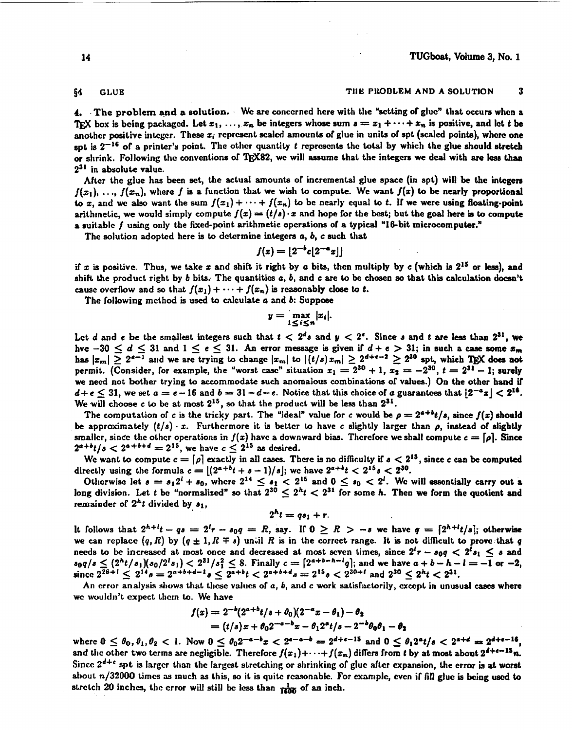### **<sup>54</sup>GLUE TI119 PltODLLM AND A SOLUTION 3**

**4.** The problem and a solution. We are concerned here with the "setting of glue" that occurs when a TEX box is being packaged. Let  $x_1, \ldots, x_n$  be integers whose sum  $s = x_1 + \cdots + x_n$  is positive, and let t be another positive integer. These x<sub>i</sub> represent scaled amounts of glue in units of spt (scaled points), where one sot is  $2^{-16}$  of a printer's point. The other quantity t represents the total by which the glue should stretch or shrink. Following the conventions of TEX82, we will assume that the integers we deal with are less than  $2^{31}$  in absolute value.

After the glue has been set, the actual amounts of incremental glue space (in spt) will be the integers  $f(x_1), \ldots, f(x_n)$ , where f is a function that we wish to compute. We want  $f(x)$  to be nearly proportional to  $x$ , and we also want the sum  $f(x_1) + \cdots + f(x_n)$  to be nearly equal to t. If we were using floating-point arithmetic, we would simply compute  $f(x) = (t/s) \cdot x$  and hope for the best; but the goal here is to compute a suitable  $f$  using only the fixed-point arithmetic operations of a typical "16-bit microeomputer."

The solution adopted here is to dctcrmine **integers** a, **6,** c such that

$$
f(x) = \lfloor 2^{-b}c\lfloor 2^{-a}x\rfloor \rfloor
$$

if **z** is positive. Thus, we take z and shift it right by a bits, then multiply by **c** (which is 215 or Icss), and shift the product right by b bits: The quantities a, **6,** and c are to be chosen **so** that this calculation **Jocsn't**  cause overflow and so that  $f(x_1) + \cdots + f(x_n)$  is reasonably close to t.

The following method is used to calculate a and **6:** Suppose

$$
y=\max_{1\leq i\leq n}|x_i|.
$$

Let d and e be the smallest integers such that  $t < 2^d s$  and  $y < 2^e$ . Since s and t are less than  $2^{31}$ , we hve  $-30 \le d \le 31$  and  $1 \le e \le 31$ . An error message is given if  $d+e > 31$ ; in such a case some  $x_m$ hve  $-30 \le d \le 31$  and  $1 \le e \le 31$ . An error message is given if  $d + e > 31$ ; in such a case some  $x_m$  has  $|x_m| \ge 2^{e-1}$  and we are trying to change  $|x_m|$  to  $|(t/s)x_m| \ge 2^{d+e-2} \ge 2^{30}$  spt, which TEX does not has  $|x_m| \ge 2^{e-1}$  and we are trying to change  $|x_m|$  to  $|(t/s)x_m| \ge 2^{e+e-2} \ge 2^{30}$  spt, which TEX does not permit. (Consider, for example, the "worst case" situation  $x_1 = 2^{30} + 1$ ,  $x_2 = -2^{30}$ ,  $t = 2^{31} - 1$ ; surely *we* necd not bother trying to accommodate such anomalous combinations of values.) On the other band if  $d+e \leq 31$ , we set  $a=e-16$  and  $b=31-d-e$ . Notice that this choice of a guarantees that  $|2^{-a}x| < 2^{16}$ . We will choose c to be at most  $2^{15}$ , so that the product will be less than  $2^{31}$ .

The computation of c is the tricky part. The "ideal" value for c would be  $\rho = 2^{a+b}t/s$ , since  $f(x)$  should be approximately  $(t/s) \cdot x$ . Furthermore it is better to have c slightly larger than  $\rho$ , instead of slightly smaller, since the other operations in  $f(x)$  have a downward bias. Therefore we shall compute  $c = [\rho]$ . Since  $2^{a+b}t/s < 2^{a+b+d} = 2^{15}$ , we have  $c \leq 2^{15}$  as desired.

We want to compute  $c = [\rho]$  exactly in all cases. There is no difficulty if  $s < 2^{15}$ , since c can be computed directly using the formula  $c = \lfloor (2^{a+b}t + s - 1)/s \rfloor$ ; we have  $2^{a+b}t < 2^{15}s < 2^{30}$ .

Otherwise let  $s = s_1 2^i + s_0$ , where  $2^{14} \le s_1 < 2^{15}$  and  $0 \le s_0 < 2^i$ . We will essentially carry out a long division. Let t be "normalized" so that  $2^{30} \leq 2^h t < 2^{31}$  for some h. Then we form the quotient and remainder of  $2<sup>h</sup>t$  divided by  $s_1$ ,

$$
2^h t = q s_1 + r.
$$

It follows that  $2^{h+l}t - qs = 2^l r - s_0 q = R$ , say. If  $0 \ge R > -s$  we have  $q = \lceil 2^{h+l}t/s \rceil$ ; otherwise we can replace  $(q, R)$  by  $(q \pm 1, R \mp s)$  until R is in the correct range. It is not difficult to prove that q needs to be increased at most once and decreased at most seven times, since  $2^i r - s_0 q < 2^i s_1 \le s$  and needs to be increased at most once and decreased at most seven times, since  $2^t r - s_0 q < 2^t s_1 \le s$  and  $s_0 q/s \le (2^h t/s_1)(s_0/2^l s_1) < 2^{31}/s_1^2 \le 8$ . Finally  $c = [2^{a+b-h-l}q]$ ; and we have  $a + b - h - l = -1$  or  $-2$  since  $2^{28+l} \$ 

An error analysis shows that these values of a, b, and c work satisfactorily, except in unusual cases where we wouldn't expect them to. We have

$$
f(x) = 2^{-b}(2^{a+b}t/s + \theta_0)(2^{-a}x - \theta_1) - \theta_2
$$
  
=  $(t/s)x + \theta_0 2^{-a-b}x - \theta_1 2^{a}t/s - 2^{-b}\theta_0 \theta_1 - \theta_2$ 

where  $0 \le \theta_0, \theta_1, \theta_2 < 1$ . Now  $0 \le \theta_0 2^{-a-b}x < 2^{a-a-b} = 2^{d+c-15}$  and  $0 \le \theta_1 2^a t/s < 2^{a+d} = 2^{d+c-16}$ , and the other two terms are negligible. Therefore  $f(x_1)+\cdots+f(x_n)$  differs from *t* by at most about  $2^{d+\epsilon-15}n$ . Since  $2^{d+e}$  spt is larger than the largest stretching or shrinking of glue after expansion, the error is at worst about **n/32000** times **as** much as this, **so** it is quitc rcawnable. For **cxamplc,** even if fill glue is being **used to**  stretch 20 inches, the error will still be less than  $\frac{1}{1600}$  of an inch.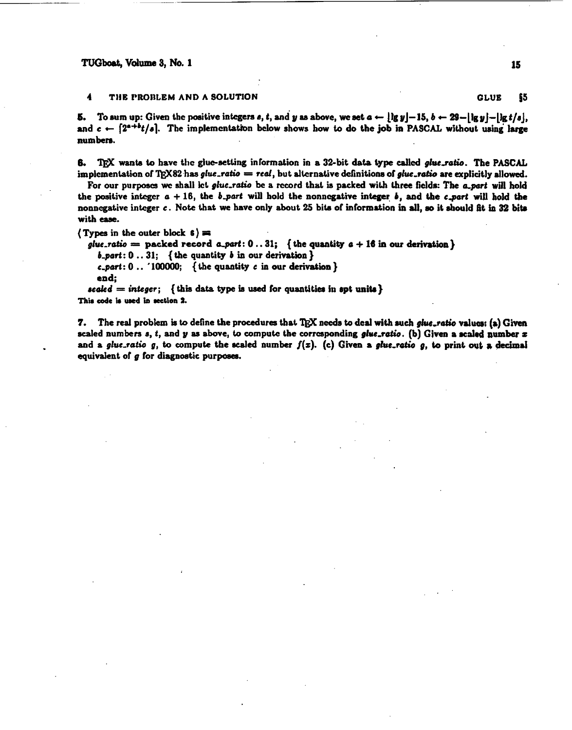#### THE PROBLEM AND A SOLUTION 4

To sum up: Given the positive integers s, t, and y as above, we set  $a \leftarrow \lfloor \lg y \rfloor - 15$ ,  $b \leftarrow 29 - \lfloor \lg y \rfloor - \lfloor \lg t / s \rfloor$ , Б. and  $c \leftarrow [2^{a+b}t/s]$ . The implementation below shows how to do the job in PASCAL without using large numbers.

TEX wants to have the glue-setting information in a 32-bit data type called glue.ratio. The PASCAL В. implementation of TpX82 has  $glue\_ratio = red$ , but alternative definitions of glue\_ratio are explicitly allowed.

For our purposes we shall let glue-ratio be a record that is packed with three fields: The a part will hold the positive integer  $a + 16$ , the b\_part will hold the nonnegative integer b, and the c\_part will hold the nonnegative integer c. Note that we have only about 25 bits of information in all, so it should fit in 32 bits with ease.

(Types in the outer block  $6$ ) =

glue.ratio = packed record a.part:  $0..31$ ; {the quantity  $a + 16$  in our derivation}

 $b$ -part: 0..31; {the quantity b in our derivation }

c\_part:  $0$ .. '100000; { the quantity c in our derivation }

end:

scaled = integer; {this data type is used for quantities in spt units} This code is used in section 2.

The real problem is to define the procedures that TRX needs to deal with such glue-ratio values: (a) Given 7. scaled numbers  $s$ ,  $t$ , and  $y$  as above, to compute the corresponding glue\_ratio. (b) Given a scaled number  $x$ and a glue-ratio g, to compute the scaled number  $f(x)$ . (c) Given a glue-ratio g, to print out a decimal equivalent of g for diagnostic purposes.

\$5

**GLUE**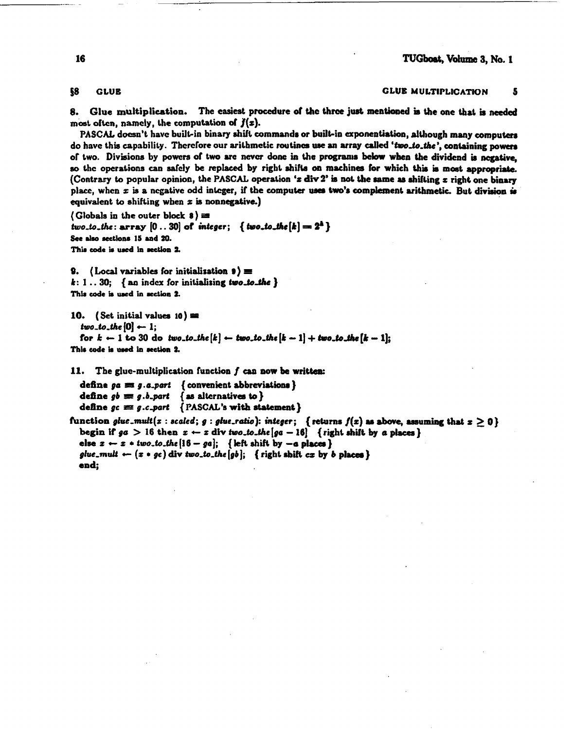58 **GLUE** 

#### **GLUE MULTIPLICATION** 5

Glue multiplication. The easiest procedure of the three just mentioned is the one that is needed 8. most often, namely, the computation of  $f(x)$ .

PASCAL doesn't have built-in binary shift commands or built-in exponentiation, although many computers do have this capability. Therefore our arithmetic routines use an array called 'two\_to\_the', containing powers of two. Divisions by powers of two are never done in the programs below when the dividend is negative, so the operations can safely be replaced by right shifts on machines for which this is most appropriate. (Contrary to popular opinion, the PASCAL operation 'x div 2' is not the same as shifting x right one binary place, when  $x$  is a negative odd integer, if the computer uses two's complement arithmetic. But division is equivalent to shifting when  $x$  is nonnegative.)

(Globals in the outer block  $\frac{1}{2}$ ) = two.to.the: array  $[0..30]$  of integer; { two.to.the  $[k] = 2<sup>k</sup>$ } See also sections 15 and 20. This code is used in section 2.

9. (Local variables for initialization  $\bullet$ ) =  $k: 1 \ldots 30;$  { an index for initializing two-to-the } This code is used in section 2.

```
10. (Set initial values 10) \equiv
```

```
two_to_the [0] \leftarrow 1;
```
for  $k - 1$  to 30 do two.to.the  $[k] \leftarrow two\_to\_the [k - 1] + two\_to\_the [k - 1]$ ; This code is used in section 2.

The glue-multiplication function  $f$  can now be written: 11.

define oa m a.a.part { convenient abbreviations } define  $gb \equiv g.b$ . part  $\{$  as alternatives to  $\}$ define  $gc \equiv g.c.part$  { PASCAL's with statement }

function glue\_mult(x:scaled; g:glue\_ratio): integer; {returns  $f(x)$  as above, assuming that  $x \ge 0$ } begin if  $g\sigma > 16$  then  $x \leftarrow x$  div two to the  $[ga - 16]$  {right shift by a places} else  $z \leftarrow z$  + two.to.the [16 - ga]; { left shift by -a places } glue\_mult  $\leftarrow$  ( $z \cdot ge$ ) div two\_to\_the [gb]; { right shift cx by b places } end: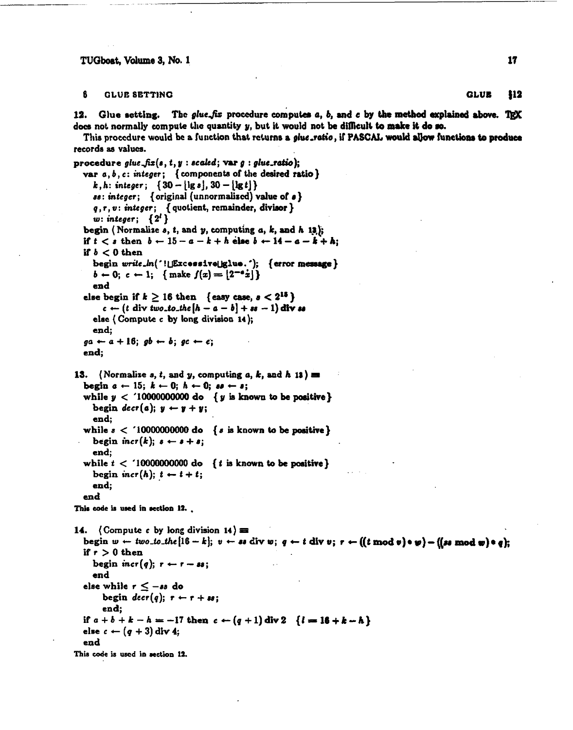ĥ **GLUE SETTING** 

12. Glue setting. The *glue-fix* procedure computes  $a, b$ , and c by the method explained above. TRX does not normally compute the quantity  $y$ , but it would not be difficult to make it do so.

This procedure would be a function that returns a *eluc*-ratio, if PASCAL would allow functions to produce records as values.

procedure glue\_fix(s, t, y : scaled; var  $g$  : glue\_ratio); var  $a, b, c$ : integer; { components of the desired ratio} k, h: integer;  $\{30 - |\lg s|, 30 - |\lg t|\}$  $ss: integer;$  {original (unnormalized) value of  $s$ }  $q, r, v: integer; \{ quotient, remainder, divisor\}$ w: integer;  $\{2^l\}$ begin (Normalize  $s$ ,  $t$ , and  $y$ , computing  $a$ ,  $k$ , and  $h$  13); if  $t < s$  then  $b \leftarrow 15 - a - k + h$  else  $b \leftarrow 14 - a - k + h$ ; if  $b < 0$  then begin write\_ln('!UExcessiveUglue.'); {error message}  $b \leftarrow 0; c \leftarrow 1; \{ \text{make } f(x) = |2^{-a}x| \}$ end else begin if  $k \ge 16$  then {easy case,  $s < 2^{15}$ }  $c \leftarrow (t \text{ div } two\_to\_the[h-a-b] + ss - 1)$  div so else (Compute  $c$  by long division 14): end:  $ga \leftarrow a + 16; gb \leftarrow b; gc \leftarrow c;$ end: 13. (Normalize s, t, and y, computing a, k, and h 13) = begin  $a \leftarrow 15$ ;  $k \leftarrow 0$ ;  $h \leftarrow 0$ ;  $ss \leftarrow s$ ; while  $y < 10000000000$  do  $\{y \text{ is known to be positive} \}$ begin  $\text{decr}(a)$ ;  $y \leftarrow y + y$ ; end; while  $s <$  10000000000 do {s is known to be positive} begin incr(k);  $s \leftarrow s + s$ ; end; while  $t < 10000000000$  do { t is known to be positive} begin incr(h);  $t \leftarrow t + t$ ; end: end This code is used in section 12. 14. (Compute c by long division 14)  $\equiv$ begin  $w \leftarrow two\_to\_the[16-k]$ ;  $v \leftarrow so$  div  $w$ ;  $q \leftarrow t$  div  $v$ ;  $r \leftarrow ((t \mod v) \circ \psi) - ((sa \mod w) \circ q)$ ; if  $r > 0$  then begin incr(q);  $r \leftarrow r - ss$ ; end else while  $r \leq -ss$  do begin  $decr(q); r - r + w;$ end; if  $a+b+k-h = -17$  then  $c \leftarrow (q+1)$  div 2  $\{l = 16 + k - h\}$ else  $c \leftarrow (q + 3)$  div 4; end This code is used in section 12.

**GLUE** \$12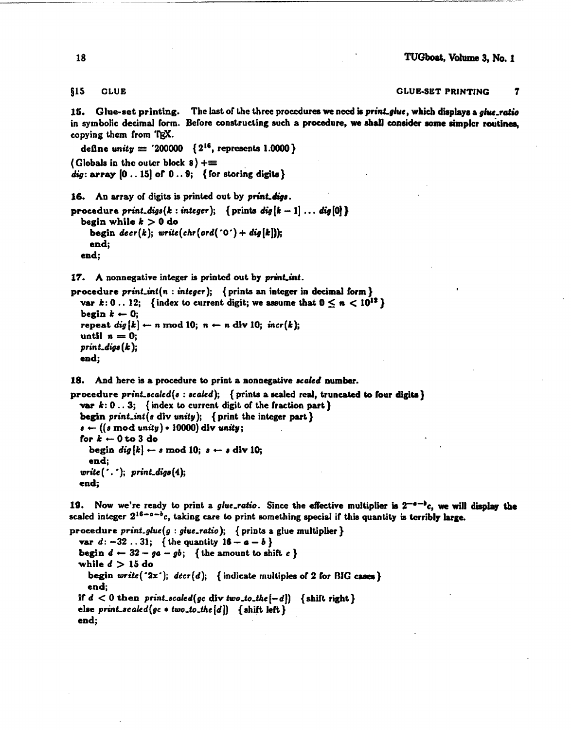#### $$15$ **GLUE**

**GLUE-SET PRINTING**  $\overline{\mathbf{r}}$ 

15. Glue-set printing. The last of the three procedures we need is print glue, which displays a glue-ratio in symbolic decimal form. Before constructing such a procedure, we shall consider some simpler routines. copying them from TEX.

define unity  $\equiv$  '200000 { 2<sup>16</sup>, represents 1.0000} (Globals in the outer block  $8$ ) +=  $dig$ : array  $[0 \tldots 15]$  of  $0 \tldots 9$ ; { for storing digits }

16. An array of digits is printed out by print digs.

```
procedure print digs(k : integer); { prints dig[k-1] \ldots dig[0] }
  begin while k > 0 do
    begin decr(k); write(chr(ord('0') + dig[k]));
    end:
  end;
```
17. A nonnegative integer is printed out by print int.

procedure  $print\_int(n : integer);$  {prints an integer in decimal form } var k: 0... 12; {index to current digit; we assume that  $0 \le n < 10^{12}$ } begin  $k \leftarrow 0$ : repeat  $dig[k] \leftarrow n \mod 10; n \leftarrow n \text{ div } 10; incr(k);$ until  $n = 0$ :  $print\_digs(k);$ end;

18. And here is a procedure to print a nonnegative scaled number.

procedure print\_scaled(s: scaled); { prints a scaled real, truncated to four digits } var  $k: 0...3$ ; {index to current digit of the fraction part} begin print\_int(s div unity); { print the integer part }

 $s \leftarrow ((s \mod unity) * 10000)$  div unity; for  $k \leftarrow 0$  to 3 do begin  $dig[k] \leftarrow s \mod 10; s \leftarrow s \text{ div } 10;$ end;  $write(\cdot, \cdot); print\_digs(4);$ end;

19. Now we're ready to print a *glue*-ratio. Since the effective multiplier is  $2^{-a-1}c$ , we will display the scaled integer  $2^{16-a-b}c$ , taking care to print something special if this quantity is terribly large.

procedure  $print_g luc(g: glue.ratio);$  { prints a glue multiplier } var  $d: -32...31;$  { the quantity  $16 - a - b$  } begin  $d \leftarrow 32 - ga - gb$ ; { the amount to shift c } while  $d > 15$  do begin  $write('2x');$   $decr(d);$  {indicate multiples of 2 for BIG cases} end: if  $d < 0$  then print\_scaled(gc div two\_to\_the[-d]) {shift right} else print\_scaled(gc  $\bullet$  two\_to\_the[d]) { shift left } end: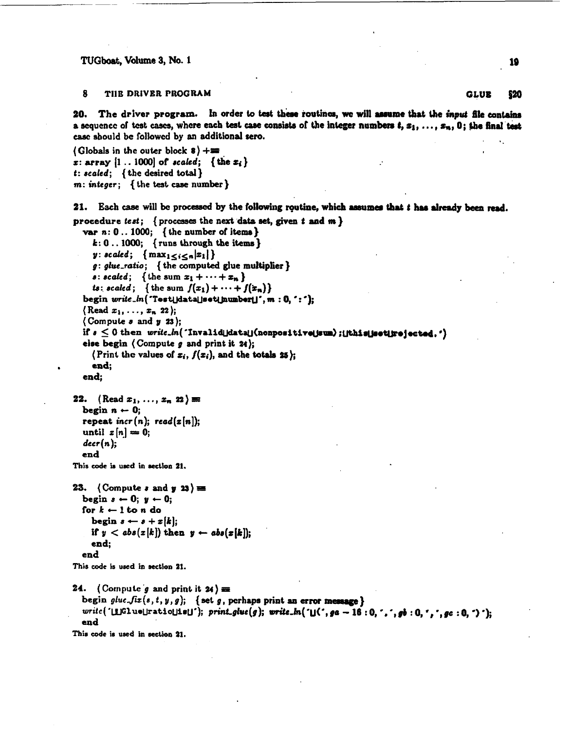#### R THE DRIVER PROGRAM

The driver program. In order to test these routines, we will assume that the input file contains 20. a sequence of test cases, where each test case consists of the integer numbers  $t, x_1, \ldots, x_n$ , 0; the final test case should be followed by an additional sero.

(Globals in the outer block  $8$ ) += x: array  $[1..1000]$  of scaled; {the  $x_i$ }  $t: scaled;$  { the desired total }  $m: integer;$  { the test case number }

21. Each case will be processed by the following routine, which assumes that t has already been read.

```
procedure test; { processes the next data set, given t and m }
  var n: 0...1000; { the number of items }
     k: 0... 1000; {runs through the items}
     y: scaled; \{ max_{1 \leq i \leq n} |x_1| \}g: glue\_ratio; { the computed glue multiplier }
     s: scaled; {the sum x_1 + \cdots + x_n}
     is: scaled; { the sum f(x_1) + \cdots + f(x_n)}
  begin write\_ln ('Test[data]set[number]]', m:0, ':'];
  (Read x_1, \ldots, x_n 22);
  (Compute s and y 23):
  if s\leq 0 then \textit{write\_ln}(\text{ 'Invalid\_data\text{`} (nonpositive\text{!sum}) ; \text{!`ch\'s} \text{!jective} } \text{!} \cdot \text{!}else begin (Compute g and print it 24);
     (Print the values of x_i, f(x_i), and the totals 25);
     end:
  end:
22. (Read x_1, \ldots, x_n 22)
  begin n \leftarrow 0;
  repeat incr(n); read(z[n]);
  until x[n] = 0;
  decr(n);end
This code is used in section 21.
23. (Compute s and y 23) =
  begin s \leftarrow 0; y \leftarrow 0;
  for k \leftarrow 1 to n do
     begin s \leftarrow s + x[k];
     if y < abs(x[k]) then y \leftarrow abs(x[k]);
     end:
  end
This code is used in section 21.
24. (Compute g and print it 24) =
  begin glue\text{-}fix(s,t,y,g); {set g, perhaps print an error message}
  write ('[i]Glue||ratio||is|]'); print_glue(g); write_ln('[](', ga - 16:0, ',', gb:0,',', gc:0,')');
  end
This code is used in section 21.
```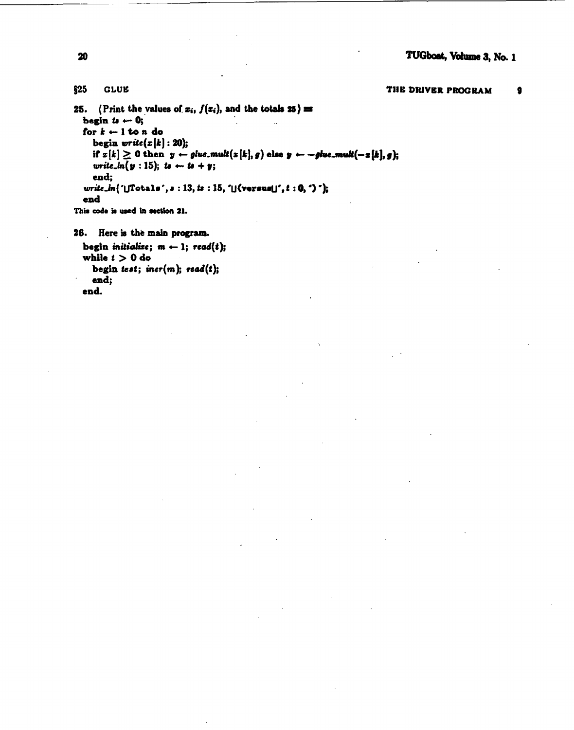### $$25$ **GLUE**

THE DRIVER PROGRAM  $\bullet$ 

25. (Print the values of  $x_i$ ,  $f(x_i)$ , and the totals 25) = begin to  $\leftarrow 0$ ; for  $k - 1$  to n do begin  $write(x[k]: 20);$ if  $z[k] \ge 0$  then  $y \leftarrow$  glue.mult $(z[k], g)$  else  $y \leftarrow -$ glue.mult $(-z[k], g)$ ; write\_ $ln(y:15)$ ; to  $\leftarrow u + y$ ; end:  $write\_ln('[]Totals', s : 13, ts : 15, '[] (versus[]', t : 0, ')')$ ; end This code is used in section 21.

```
26. Here is the main program.
  begin initialize; m \leftarrow 1; read(t);
  while t > 0 do
```

```
begin test; incr(m); read(t);
  end:
end.
```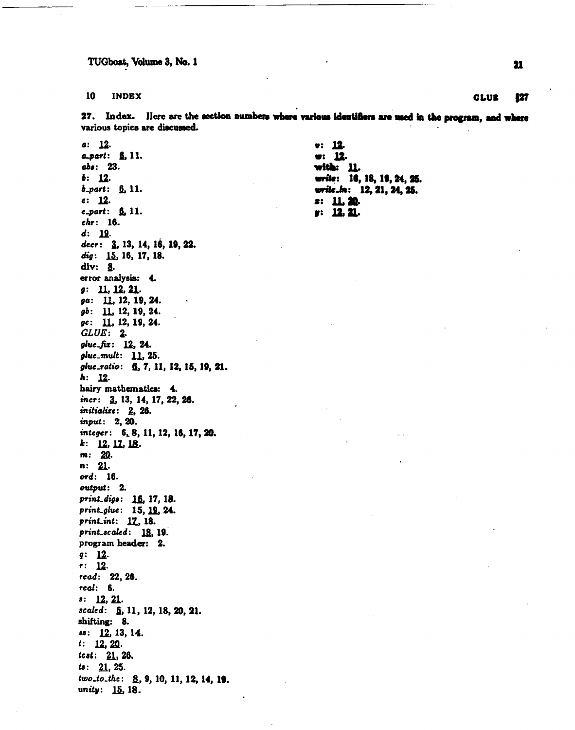#### 10 **INDEX**

27. Index. Here are the section numbers where various identifiers are used in the program, and where various topics are discussed.

 $a: 12.$ a\_part: 6, 11. abs: 23.  $b: 12.$ **-part:**  $**6**$ **, 11.**  $c: 12.$  $c_$  part:  $6.11$ . chr: 16.  $d: 19.$ decr: 3, 13, 14, 16, 19, 22. dig: 15, 16, 17, 18. div: 8. error analysis: 4.  $g: \quad 11, 12, 21.$ ga: 11, 12, 19, 24.  $gb: 11, 12, 19, 24.$  $gc: 11, 12, 19, 24.$  $GLUE: 2.$ glue\_fix: 12, 24. glue\_mult: 11, 25. glue\_ratio: 6, 7, 11, 12, 15, 19, 21.  $k: 12.$ hairy mathematics: 4. incr: 3, 13, 14, 17, 22, 26. initialize: 2, 26. input: 2, 20. integer: 6, 8, 11, 12, 16, 17, 20.  $k:$  12, 17, 18.  $m: 20.$  $n: 21.$ ord: 16. output: 2. print\_digs: 16, 17, 18. print\_glue: 15, 19, 24. print\_int: 17, 18. print\_scaled: 18, 19. program header: 2.  $q: 12.$  $r: 12.$ read: 22, 26. real: 6.  $\frac{12}{21}$ . scaled: §, 11, 12, 18, 20, 21. shifting: 8.  $ss: 12, 13, 14.$  $t: 12, 20.$ *test:* 21, 26.  $ts: 21, 25.$ two\_to\_the: 8, 9, 10, 11, 12, 14, 19. unity: 15, 18.

 $9:12.$ w: 12. with: 11. write: 16, 18, 19, 24, 25. write\_in: 12, 21, 24, 25.  $3: 11.20.$  $y: 12.21.$ 

21

### **GLUE** 127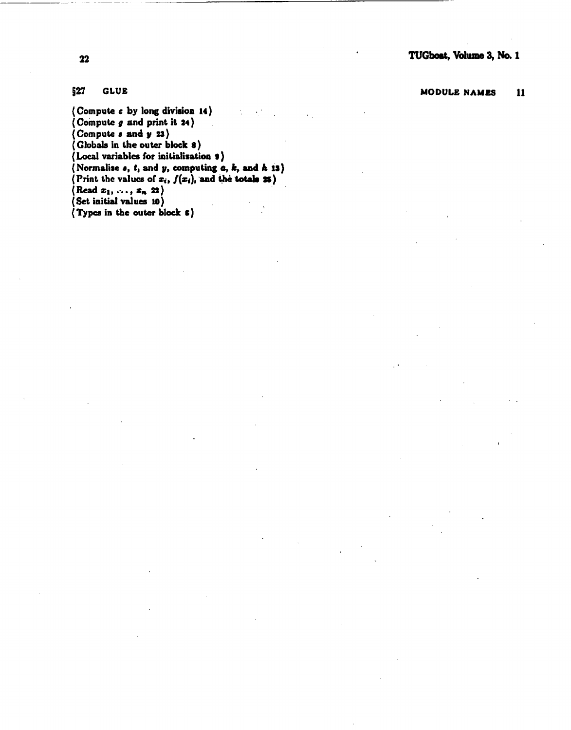**MODULE NAMES 11** 

## **527 GLUE**

( **Compute c by long divirion 14** ) k,  $\epsilon^{-1}$  $\overline{\text{Compute } g}$  and print it **24**) **(Compute** *8* **and y 23)**  ( **Clobals in the outer block** *8* )  $($ Local variables for initialization **9**) ( **Normalire a,** *t,* **and y, computing** *a, k,* **and** *h* **is)**   $(P \text{rint the values of } x_i, f(x_i)$ , and the **totals 25**)  $(\text{Read } x_1, \ldots, x_n, 22)$ **(Set initial values 10)**   $\epsilon$ ( **Typcs in the outer black** *6* )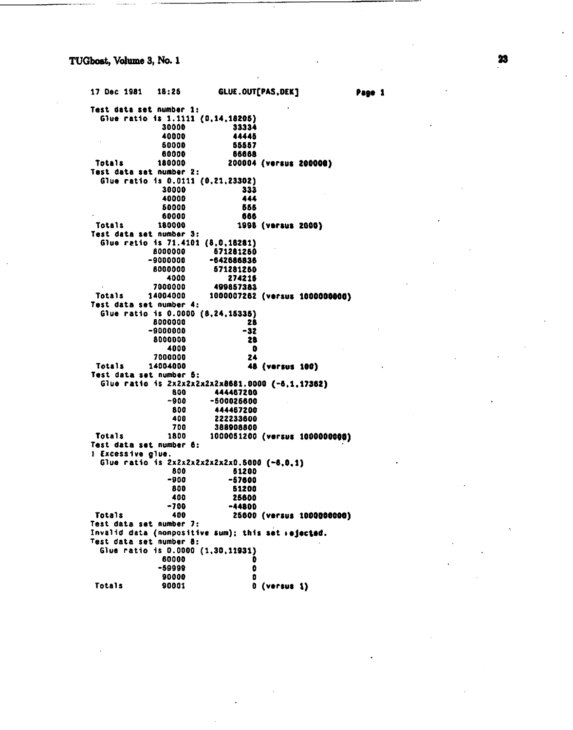17 Dec 1981 18:25 GLUE.OUT[PAS.DEK] Page 1 Test data set number 1: Glue ratio is 1.1111 (0.14.18205) 30000 33334 40000 44445 50000 55557 60000 66668 180000 200004 (versus 200000) **Totals** Test data set number 2: Glue ratio is 0.0111 (0.21.23302) 30000 333 40000 444 50000 555 60000 666 180000 Totals 1998 (versus 2000) Test data set number 3: Glue ratio is 71.4101 (8,0,18281) 8000000 571281250  $-9000000$ -642686836 8000000 571281250 4000 274215 7000000 499857383 1000007262 (versus 1000000000) Totals 14004000 Test data set number 4: Glue ratio is 0.0000 (8.24.15335) 8000000 28  $-9000000$  $-32$ 8000000 28 4000  $\bullet$ 7000000 24 **Totals** 14004000 48 (versus 100) Test data set number 5: Glue ratio is 2x2x2x2x2x2x8681.0000 (-6.1.17362) 800 444467200 -500025600  $-900$ 800 444467200 400 222233600 700 388908800 Totals 1800 1000051200 (versus 1000000000) Test data set number 6: ! Excessive glue. Glue ratio is 2x2x2x2x2x2x2x0.5000 (-6.0.1) 800 51200  $-900$  $-57600$ **800** 51200 400 25600  $-700$  $-44800$ **Totals** 400 25600 (versus 1000000000) Test data set number 7: Invalid data (nonpositive sum); this set rejected. Test data set number 8: Glue ratio is 0.0000 (1,30,11931) 60000 n -59999  $\bullet$ 90000  $\mathbf{a}$ **Totals** 90001  $0$  (versus  $1$ )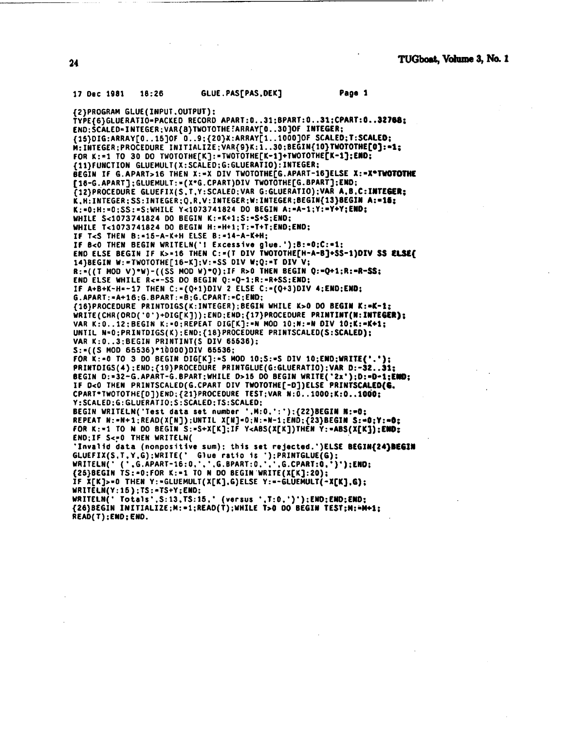#### GLUE.PASTPAS.DEKT Page 1 17 Dec 1981  $18:26$

{2}PROGRAM GLUE(INPUT.OUTPUT); TYPE/6)GLUERATIO=PACKED RECORD APART:0..31:BPART:0..31:CPART:0..32768: END: SCALED=INTEGER: VAR{8}TWOTOTHE FARRAY[0..30]OF INTEGER; {15}DIG:ARRAY[0..15]OF 0..9;{20}X:ARRAY[1..1000]OF SCALED;T:SCALED; M: INTEGER; PROCEDURE INITIALIZE; VAR{9}K: 1..30; BEGIN{10}TWOTOTHE[0]:=1; FOR K:=1 TO 30 DO TWOTOTHE[K]:=TWOTOTHE[K-1]+TWOTOTHE[K-1];END; {11}FUNCTION GLUEMULT(X:SCALED;G:GLUERATIO):INTEGER; BEGIN IF G.APART>16 THEN X:=X DIV TWOTOTHEFG.APART-16]ELSE X:=X\*TWOTOTHE [16-G.APART]; GLUEMULT:=(X\*G.CPART)DIV TWOTOTHE[G.BPART]; END; T12)PROCEDURE GLUEFIX(S.T.Y:SCALED; VAR G:GLUERATIO); VAR A.B.C:INTEGER; K.H. INTEGER: SS: INTEGER: Q.R.V: INTEGER: W: INTEGER: BEGIN(13) BEGIN A:=15: K:=0;H:=0;SS:=S;WHILE Y<1073741824 DO BEGIN A:=A-1;Y:=Y+Y:END: WHILE S<1073741824 DO BEGIN K:=K+1;S:=S+S;END; WHILE T<1073741824 DO BEGIN H:=H+1;T:=T+T;END;END; IF T<S THEN B:=15-A-K+H ELSE B:=14-A-K+H; IF B<0 THEN BEGIN WRITELN('I Excessive glue.');B:=0;C:=1;<br>END ELSE BEGIN IF K>=16 THEN C:=(T DIV TWOTOTHE[H-A-B]+SS-1)DIV SS ELSE{ 14}BEGIN W: = TWOTOTHE[16-K]:V: = SS DIV W;Q: = T DIV V; R:=((T MOD V)\*W)-((SS MOD W)\*Q):IF R>0 THEN BEGIN Q:=Q+1;R:=R-SS; END ELSE WHILE R<=-SS DO BEGIN Q:=Q-1;R:=R+SS;END; IF A+B+K-H=-17 THEN C:=(Q+1)DIV 2 ELSE C:=(Q+3)DIV 4;END;END; G.APART: = A+16; G.BPART: = B; G.CPART: = C; END; {16}PROCEDURE PRINTDIGS(K:INTEGER); BEGIN WHILE K>0 DO BEGIN K:=K-1: WRITE(CHR(ORD('0')+DIG[K])):END:END:{17}PROCEDURE PRINTINT(N:INTEGER): VAR K:0..12: BEGIN K:=0; REPEAT DIG[K]:=N MOD 10:N:=N DIV 10; K:=K+1; UNTIL N=0;PRINTDIGS(K):END:{18}PROCEDURE PRINTSCALED(S:SCALED); VAR K: 0..3: BEGIN PRINTINT(S DIV 65536):  $S:=(S$  MOD 65536)\*10000)DIV 65536; FOR K:=0 TO 3 DO BEGIN DIG[K]:=S MOD 10;S:=S DIV 10;END;WRITE('.'); PRINTDIGS(4);END;{19}PROCEDURE PRINTGLUE(G:GLUERATIO);VAR D:-32..31; BEGIN D:=32-G.APART-G.BPART;WHILE D>15 DO BEGIN WRITE('2x');D:=D-1;END; IF D<0 THEN PRINTSCALED(G.CPART DIV TWOTOTHEF-DT)ELSE PRINTSCALED(G. CPART\*TWOTOTHE[D])END: {21}PROCEDURE TEST; VAR N:0.1000;K:0.1000; Y: SCALED: G: GLUERATIO: S: SCALED: TS: SCALED: BEGIN WRITELN('Test data set number ',M:0,':');{22}BEGIN N:=0; REPEAT N:=N+1;READ(X[N]);UNTIL X[N]=0;N:=N-1;END;{23}BEGIN S:=0;Y:=0; FOR K:=1 TO N DO BEGIN S:=S+X[K];IF Y<ABS(X[K])THEN Y:=ABS(X[K]);END; END; IF S<= 0 THEN WRITELN( 'Invalid data (nonpositive sum); this set rejected.')ELSE BEGIN(24)BEGIN GLUEFIX(S.T.Y.G):WRITE(' Glue ratio is '):PRINTGLUE(G):<br>WRITELN(' ('.G.APART-16:0.'.'.G.BPART:0.'.'.G.CPART:0.')'):END; {25}BEGIN TS:=0;FOR K:=1 TO N DO BEGIN WRITE(X[K]:20); IF X[K]>=0 THEN Y:=GLUEMULT(X[K],G)ELSE Y:=-GLUEMULT(-X[K],G); WRITELN(Y:15);TS:=TS+Y;END; WRITELN(' Totals', S:13, TS:15,' (versus ', T:0,')'); END; END; END; {26}BEGIN INITIALIZE;M:=1;READ(T);WHILE T>0 DO BEGIN TEST;M:=M+1; READ(T):END:END.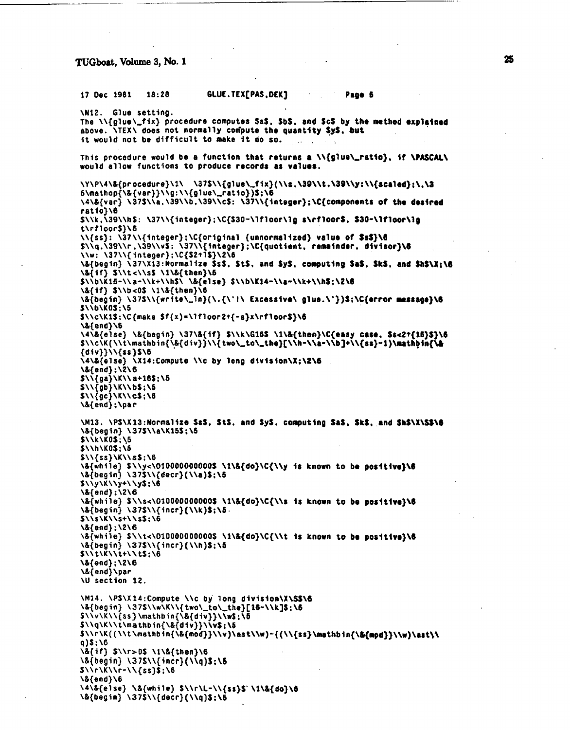### 17 Dec 1981 18:28 GLUE. **TEX[PAS,DEK J** . **Page 6**

```
\N12. Glue setting. 
The \\{glue\_fix} procedure computes SaS, SbS, and ScS by the method explained
above. \overline{\text{MEX}} does not normally compute the quantity SyS, but
it would not be difficult to make it do so.
This procedure would be a function that returns a \iota\{g\}ue\iota\_{r}atio), if \iota\{PASCAL\}would allow functions to produce records as values.
\Y\P\4\&{procedure)\1\ \37S\\{glue\,fix)(\\s,\39\\t.\39\\y:\\{scaled}:\~\3 
~\mathop{\&{var))\\g:\\{~lue\-ratio})S:\6 
\4\&{var) \37S\\a.\39\\b.\39\\cS: \37\\{integer);\C{conponents of tho deslrrd 
ratio)\6 
S\\k.\39\\hS: \37\\{integer);\C{S30-\lfloor\lg s\cfloorS. $30-\lfloor\lg 
t\rf loorS}\6 
\setminus \{ss\}: \ \setminus \{37\}\setminus \{interger\}; \setminus \{original\} (unnormalized) value of $s$}\G
S\\q.\39\\r,\39\\vS: \37\\{integer):\C{quotient. remainder. dlvisor)\6 
\\w: \37\\{integer);\C{SZtlS}\2\6 
\&{begin) \37\X13:Normal ize SsS. St$. md SyS, computing Sd, SkS, and ShS\X:W 
\&{if} S\\tc\\sS \i\&{then)\S 
S\\b\K15-\\a-\\k+\\hS\ \&{else) S\\b\Kl4-\\a-\\k+\\hS:\2\6 
\&{if) S\\b<OS \l\&{then}\6 
\&{begin) \37S\\{write\,ln)(\.{\*t\ Excessive\ glur.\'})S:\C{error rwssago)\6 
S\\b\KOS:\5 
S\\c\Kl$:\C{make Sf(x)=\lfloorZt{-a)x\rfloorS)\6 
\&{end)\6 
\4\&{el se) \&{begin} \37\&{if} S\\k\G16S \l\&{then)\C(easy case, S$d2+{16)S)\6 
S\\c\K(\\t\mathbin{\&{div}}\\{two\,to\,tha)[\\h-\\a-\\b]+\\(ss}-1)\~ 
{biv))\\{ss)S \6 
\4\&{else) \X14:Compute \\c by long division\X:\2\6 
\&{end) ;\2\6 
S\\{ga}\K\\ a+l6S;\5 
S\\{gb}\K\\ bS;\S 
$ \Upsilon \{gc} \V \
\&{end) :\par 
\M13. \PS\X13:Normalize SsS, StS, and SyS, computing SaS, SkS, and ShS\X\S$\@
\&{begin) \37S\\a\Kl5S :\5 
$\\k\KOS;\5 
S\\h\KOS;\5 
$11{ss}\K\\s$:\6
\&{while) S\\y<\O10000000000S \I\&{do)\C{\\y Is known to be posltlva)\6 
\&{begin) \37S\\{decr)(\\a)S;\S 
S\\y\K\\y+\\yS;\6 
\&{end} : \Z\6 
\&{whi 1 e) S \\s~\010000000000S \t\&{do)\C{\\s Is known to be posl tlvr}\6 
\&{begin) \37S\\{incr)(\\k)S;\6. 
S\\s\K\\s+\\sS; \6 
\&{end) : \Z\6 
\&{while} S\\t~\010000000000S \l\&{do)\C{\\t is known to bo posltlv~)\6 
\&{begin} \37S\\{incr)(\\h)S;\d 
S\backslash\backslash t\backslash\overline{K}\backslash\backslash t+1\backslash tS; \backslash\overline{B}\&{end) ;\Z\6 
\&{end}\par 
\U section 12. 
\M14. \PS\X14:Compute \\c by long division\X\SS\6
\&{begin} \37$\\w\K\\{two\-to\,the}[l6-\\k]S:\6 
S\\v\K\\{ss}\mathbin{\&{div}}\\wf:\S 
S\\q\K\\t\mathbin{\&{div}}\\vf:\5 
S\\r\K( (\\t \mathb in{\&{mod}}\\v)\ast\\w)-((\\{ss~\mathbln{\&{m~d)}\\w)\ast~\ 
q)$;\6<br>\&{if} $\\r>0$ \1\&{then}\6
\&{begin} \37$\\{incr}(\\q)$;\5
S \setminus \setminus r \setminus K \setminus r - 1 \setminus \{ss\} \S; \6
\&{end}\6
\4\&{else} \&{while} $\\r\L-\\{ss}$'\1\&{do}\6
\&{begin} \37$\\{decr}(\\q)$;\5
```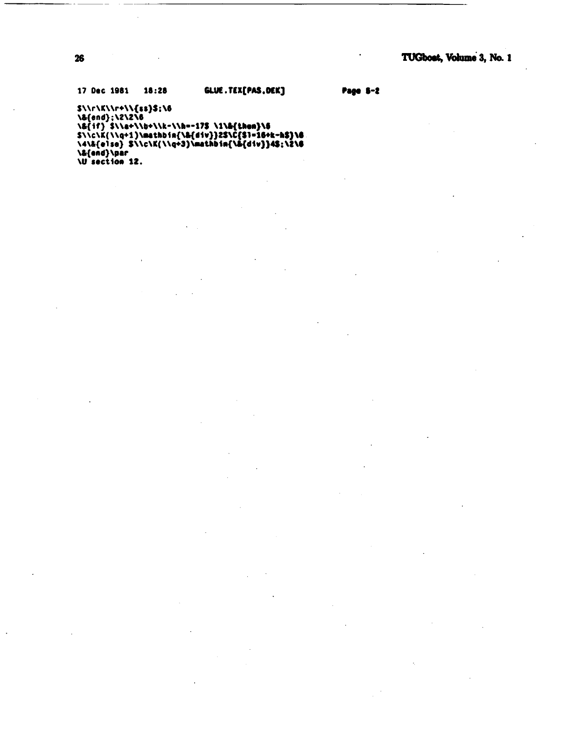GLUE.TEX[PAS, DEK] 17 Dec 1981 18:28

Page 5-2

 $\ddot{\phantom{0}}$ 

S\\r\K\\r+\\{ss}\$;\6<br>\&{end};\2\2\6<br>\&{if} \$\\&+\\b+\\k-\\h=-17\$ \1\&{then}\6<br>\$\\c\K{\\q+1}\msthbin{\&{div}}2\$\C{\$1=16+k-h\$}\6<br>\4\&{else} \$\\c\K{\\q+3}\msthbin{\&{div}}4\$;\2\6<br>\&{end}\par<br>\U section 12.